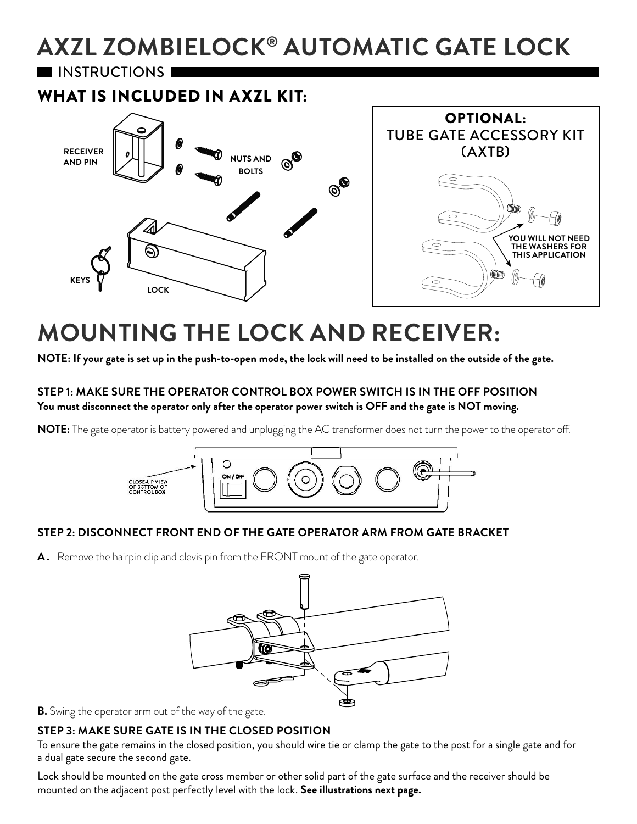# **AXZL ZOMBIELOCK® AUTOMATIC GATE LOCK**

**I INSTRUCTIONS I** 

WHAT IS INCLUDED IN AXZL KIT:



## **MOUNTING THE LOCK AND RECEIVER:**

**NOTE: If your gate is set up in the push-to-open mode, the lock will need to be installed on the outside of the gate.**

#### **STEP 1: MAKE SURE THE OPERATOR CONTROL BOX POWER SWITCH IS IN THE OFF POSITION You must disconnect the operator only after the operator power switch is OFF and the gate is NOT moving.**

**NOTE:** The gate operator is battery powered and unplugging the AC transformer does not turn the power to the operator off.



#### **STEP 2: DISCONNECT FRONT END OF THE GATE OPERATOR ARM FROM GATE BRACKET**

A. Remove the hairpin clip and clevis pin from the FRONT mount of the gate operator.



**B.** Swing the operator arm out of the way of the gate.

#### **STEP 3: MAKE SURE GATE IS IN THE CLOSED POSITION**

To ensure the gate remains in the closed position, you should wire tie or clamp the gate to the post for a single gate and for a dual gate secure the second gate.

Lock should be mounted on the gate cross member or other solid part of the gate surface and the receiver should be mounted on the adjacent post perfectly level with the lock. **See illustrations next page.**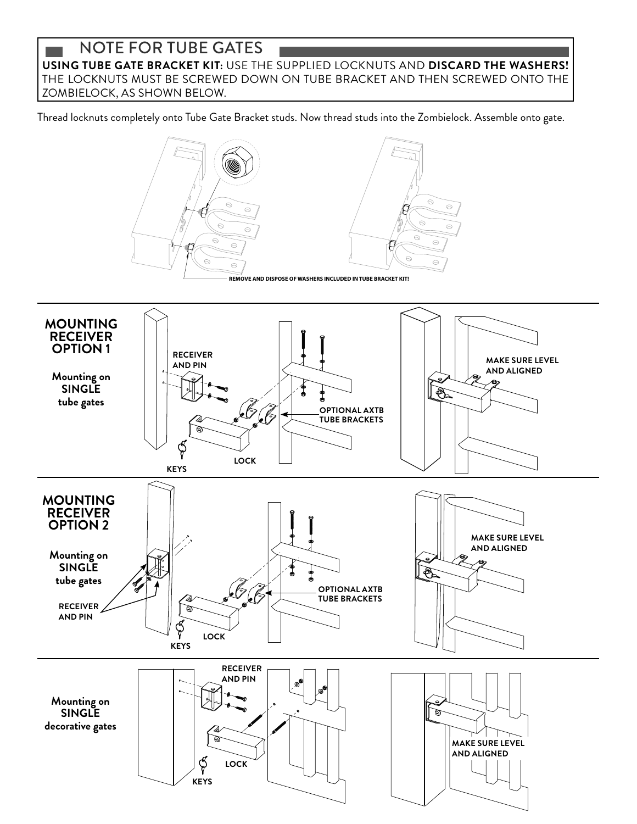### **NOTE FOR TUBE GATES**<br>
USING TUBE GATE BRACKET KIT: USE THE SUPPLIED LOCKNUTS AND **DISCARD THE WASHERS!** THE LOCKNUTS MUST BE SCREWED DOWN ON TUBE BRACKET AND THEN SCREWED ONTO THE ZOMBIELOCK, AS SHOWN BELOW.

Thread locknuts completely onto Tube Gate Bracket studs. Now thread studs into the Zombielock. Assemble onto gate.

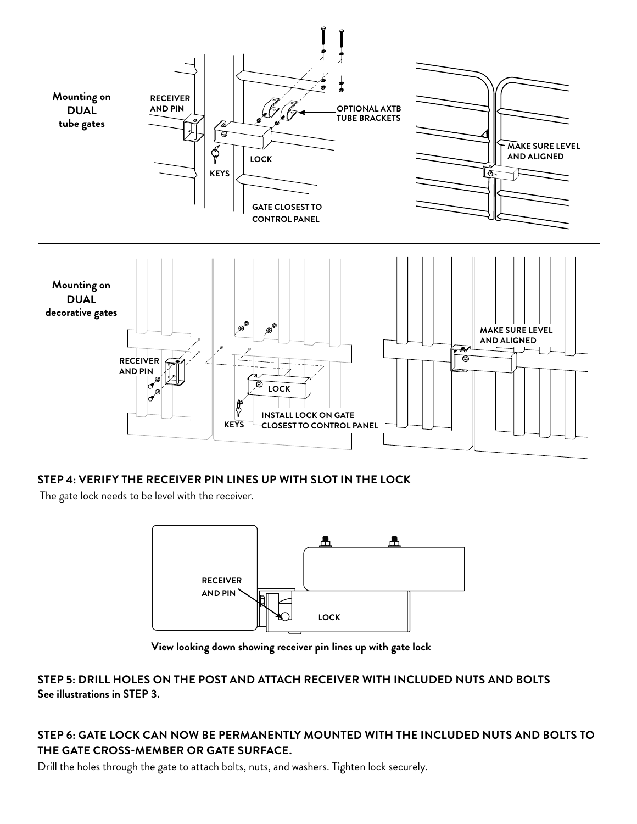

#### **STEP 4: VERIFY THE RECEIVER PIN LINES UP WITH SLOT IN THE LOCK**

The gate lock needs to be level with the receiver.



**View looking down showing receiver pin lines up with gate lock**

#### **STEP 5: DRILL HOLES ON THE POST AND ATTACH RECEIVER WITH INCLUDED NUTS AND BOLTS See illustrations in STEP 3.**

#### **STEP 6: GATE LOCK CAN NOW BE PERMANENTLY MOUNTED WITH THE INCLUDED NUTS AND BOLTS TO THE GATE CROSS-MEMBER OR GATE SURFACE.**

Drill the holes through the gate to attach bolts, nuts, and washers. Tighten lock securely.